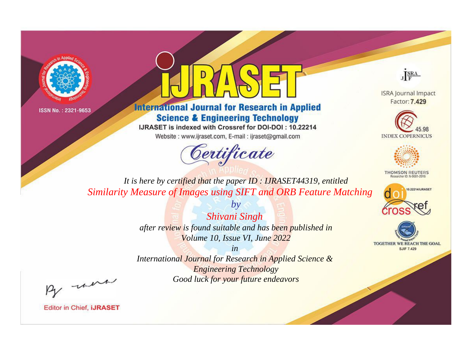



**International Journal for Research in Applied Science & Engineering Technology** 

IJRASET is indexed with Crossref for DOI-DOI: 10.22214

Website: www.ijraset.com, E-mail: ijraset@gmail.com



JERA

**ISRA Journal Impact** Factor: 7.429





**THOMSON REUTERS** 



TOGETHER WE REACH THE GOAL **SJIF 7.429** 

*It is here by certified that the paper ID : IJRASET44319, entitled Similarity Measure of Images using SIFT and ORB Feature Matching*

> *Shivani Singh after review is found suitable and has been published in Volume 10, Issue VI, June 2022*

*by*

*in* 

*International Journal for Research in Applied Science & Engineering Technology Good luck for your future endeavors*

By morn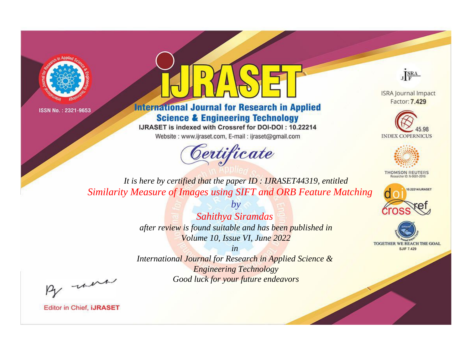



**International Journal for Research in Applied Science & Engineering Technology** 

IJRASET is indexed with Crossref for DOI-DOI: 10.22214

Website: www.ijraset.com, E-mail: ijraset@gmail.com



JERA

**ISRA Journal Impact** Factor: 7.429





**THOMSON REUTERS** 



TOGETHER WE REACH THE GOAL **SJIF 7.429** 

*It is here by certified that the paper ID : IJRASET44319, entitled Similarity Measure of Images using SIFT and ORB Feature Matching*

> *Sahithya Siramdas after review is found suitable and has been published in Volume 10, Issue VI, June 2022*

*by*

*in* 

*International Journal for Research in Applied Science & Engineering Technology Good luck for your future endeavors*

By morn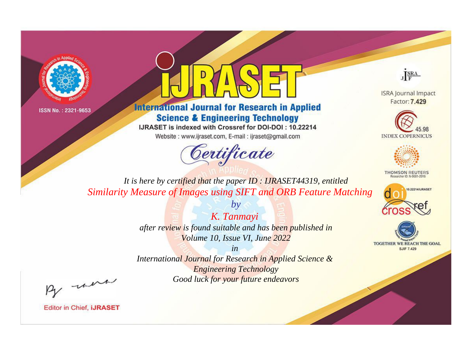



**International Journal for Research in Applied Science & Engineering Technology** 

IJRASET is indexed with Crossref for DOI-DOI: 10.22214

Website: www.ijraset.com, E-mail: ijraset@gmail.com



JERA

**ISRA Journal Impact** Factor: 7.429





**THOMSON REUTERS** 



TOGETHER WE REACH THE GOAL **SJIF 7.429** 

*It is here by certified that the paper ID : IJRASET44319, entitled Similarity Measure of Images using SIFT and ORB Feature Matching*

> *K. Tanmayi after review is found suitable and has been published in Volume 10, Issue VI, June 2022*

*by*

*in* 

*International Journal for Research in Applied Science & Engineering Technology Good luck for your future endeavors*

By morn